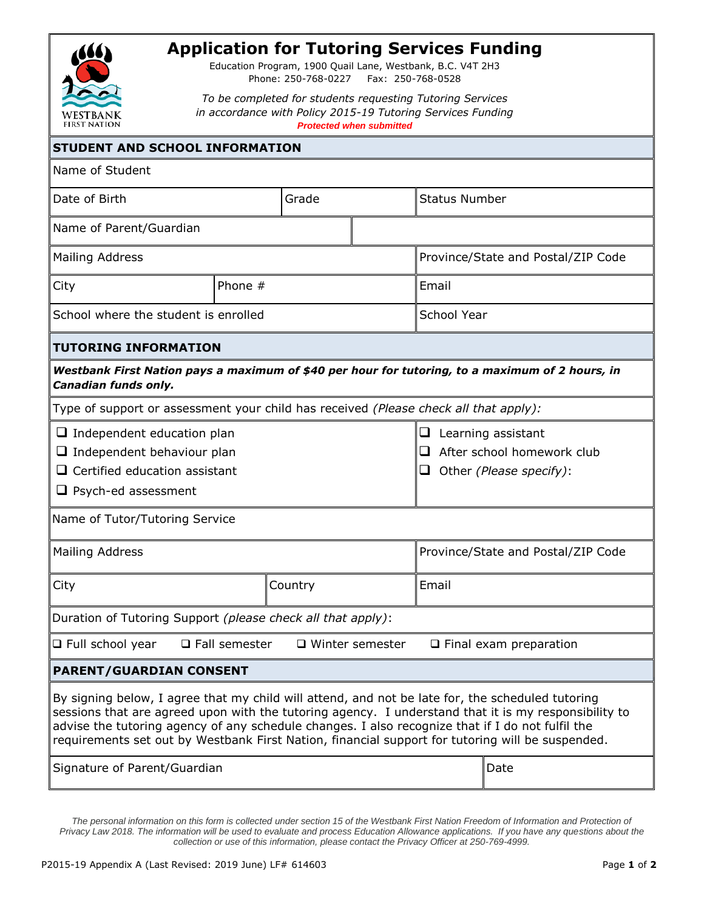

## **Application for Tutoring Services Funding**

Education Program, 1900 Quail Lane, Westbank, B.C. V4T 2H3 Phone: 250-768-0227 Fax: 250-768-0528

*To be completed for students requesting Tutoring Services in accordance with Policy 2015-19 Tutoring Services Funding Protected when submitted*

| <b>STUDENT AND SCHOOL INFORMATION</b>                                                                                                        |           |         |                                                                                  |                                                                                                                                                                                                                                                                                                                                                                                                                  |  |  |
|----------------------------------------------------------------------------------------------------------------------------------------------|-----------|---------|----------------------------------------------------------------------------------|------------------------------------------------------------------------------------------------------------------------------------------------------------------------------------------------------------------------------------------------------------------------------------------------------------------------------------------------------------------------------------------------------------------|--|--|
| Name of Student                                                                                                                              |           |         |                                                                                  |                                                                                                                                                                                                                                                                                                                                                                                                                  |  |  |
| Date of Birth                                                                                                                                |           | Grade   |                                                                                  | <b>Status Number</b>                                                                                                                                                                                                                                                                                                                                                                                             |  |  |
| Name of Parent/Guardian                                                                                                                      |           |         |                                                                                  |                                                                                                                                                                                                                                                                                                                                                                                                                  |  |  |
| <b>Mailing Address</b>                                                                                                                       |           |         | Province/State and Postal/ZIP Code                                               |                                                                                                                                                                                                                                                                                                                                                                                                                  |  |  |
| City                                                                                                                                         | Phone $#$ |         |                                                                                  | Email                                                                                                                                                                                                                                                                                                                                                                                                            |  |  |
| School where the student is enrolled                                                                                                         |           |         | <b>School Year</b>                                                               |                                                                                                                                                                                                                                                                                                                                                                                                                  |  |  |
| <b>TUTORING INFORMATION</b>                                                                                                                  |           |         |                                                                                  |                                                                                                                                                                                                                                                                                                                                                                                                                  |  |  |
| Canadian funds only.                                                                                                                         |           |         |                                                                                  | Westbank First Nation pays a maximum of \$40 per hour for tutoring, to a maximum of 2 hours, in                                                                                                                                                                                                                                                                                                                  |  |  |
| Type of support or assessment your child has received (Please check all that apply):                                                         |           |         |                                                                                  |                                                                                                                                                                                                                                                                                                                                                                                                                  |  |  |
| $\Box$ Independent education plan<br>$\Box$ Independent behaviour plan<br>$\Box$ Certified education assistant<br>$\Box$ Psych-ed assessment |           |         | Learning assistant<br>u<br>After school homework club<br>Other (Please specify): |                                                                                                                                                                                                                                                                                                                                                                                                                  |  |  |
| Name of Tutor/Tutoring Service                                                                                                               |           |         |                                                                                  |                                                                                                                                                                                                                                                                                                                                                                                                                  |  |  |
| <b>Mailing Address</b>                                                                                                                       |           |         |                                                                                  | Province/State and Postal/ZIP Code                                                                                                                                                                                                                                                                                                                                                                               |  |  |
| City                                                                                                                                         |           | Country |                                                                                  | Email                                                                                                                                                                                                                                                                                                                                                                                                            |  |  |
| Duration of Tutoring Support (please check all that apply):                                                                                  |           |         |                                                                                  |                                                                                                                                                                                                                                                                                                                                                                                                                  |  |  |
| $\Box$ Full school year $\Box$ Fall semester $\Box$ Winter semester<br>$\Box$ Final exam preparation                                         |           |         |                                                                                  |                                                                                                                                                                                                                                                                                                                                                                                                                  |  |  |
| <b>PARENT/GUARDIAN CONSENT</b>                                                                                                               |           |         |                                                                                  |                                                                                                                                                                                                                                                                                                                                                                                                                  |  |  |
|                                                                                                                                              |           |         |                                                                                  | By signing below, I agree that my child will attend, and not be late for, the scheduled tutoring<br>sessions that are agreed upon with the tutoring agency. I understand that it is my responsibility to<br>advise the tutoring agency of any schedule changes. I also recognize that if I do not fulfil the<br>requirements set out by Westbank First Nation, financial support for tutoring will be suspended. |  |  |
| Signature of Parent/Guardian                                                                                                                 |           |         |                                                                                  | Date                                                                                                                                                                                                                                                                                                                                                                                                             |  |  |

*The personal information on this form is collected under section 15 of the Westbank First Nation Freedom of Information and Protection of Privacy Law 2018. The information will be used to evaluate and process Education Allowance applications. If you have any questions about the collection or use of this information, please contact the Privacy Officer at 250-769-4999.*